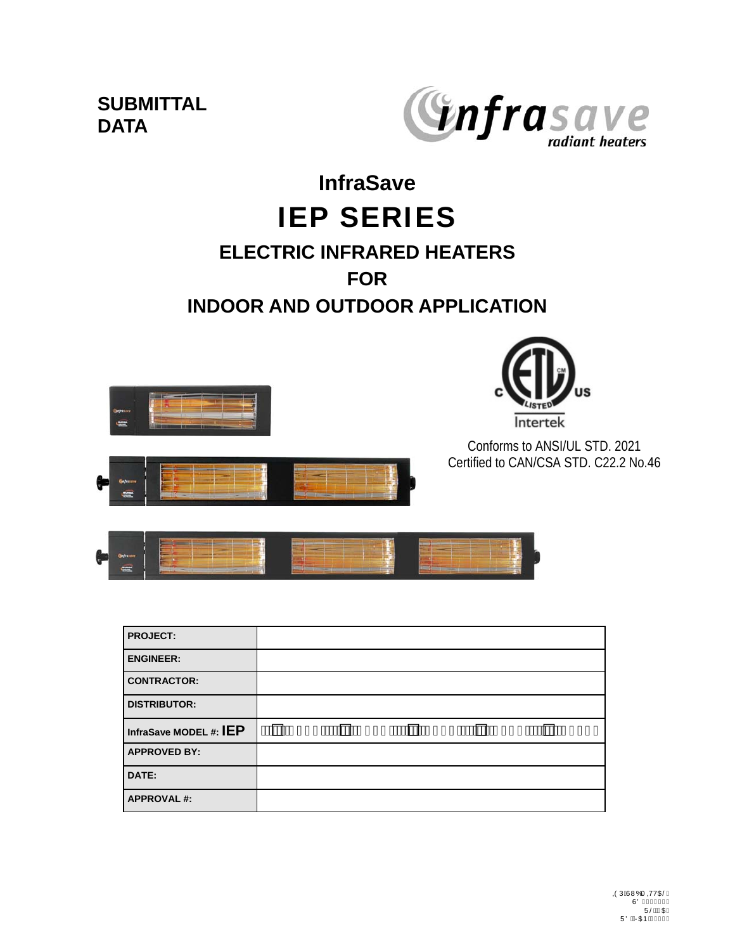**SUBMITTAL DATA** 



# **InfraSave** IEP SERIES

**ELECTRIC INFRARED HEATERS FOR** 

# **INDOOR AND OUTDOOR APPLICATION**





Conforms to ANSI/UL STD. 2021 Certified to CAN/CSA STD. C22.2 No.46





| <b>PROJECT:</b>        |                                              |
|------------------------|----------------------------------------------|
| <b>ENGINEER:</b>       |                                              |
| <b>CONTRACTOR:</b>     |                                              |
| <b>DISTRIBUTOR:</b>    |                                              |
|                        |                                              |
| InfraSave MODEL #: IEP | ÁÁÓÓÓÓFÍ                                     |
| <b>APPROVED BY:</b>    |                                              |
| DATE:                  | G€ÄÄÄÄÄÄÄFÍGIÁÄÄÄÄÄÆGIÁÄÄÄÄÄÄ,€GIÁÄÄÄÄÄ,€GIÁ |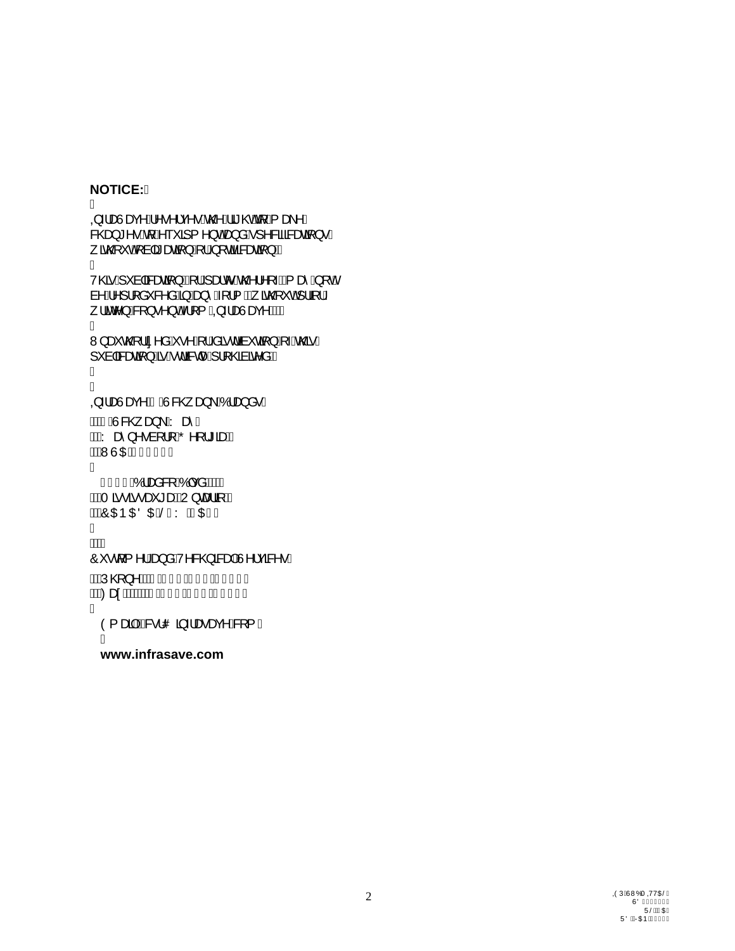```
NOTICE: Á
À
Q-alae^Á^.^Ic^.6@Áã@4fÁ at^Á
8@g * ^* A [A ~ ` 3 { ^ } obe) a A ] ^ 8 a a see 1 } . A
  ão Qi o Ái à |ã æaā}Ài Ái [cãa&æaā}}ÈÁi
\rm \AAV@sáÁ, `à|ākænā} Bák¦á, ælován@ ¦^[ +Bák æ á Á [ o Á
, '@cx anay neep Af¦{EA}aão2}<br>|acc^}A&{}•^}σAj{AΩ+æeUæeç^EÀÁÁ{<br>A
à^Á^]¦[å ̃&^åÁ§}Áæ}^Á[¦{ BĂ̯ ão @[ ̃on∫lą̃] ¦Á
W,æico2¦iã^åÁ∙^Ái¦Ásãdãn`cã¦}Ái-Áno2éÁ
] `à|a‱eaa[} ÁsrÁda&d^Á| [@àaé^åÈÁ
Á
Á
Q-alay^$BAU&@a}\AO'a}å•A
ÁÁÓGÁÚ&@, æ}∖ÁY æê Á
ÁÁÁYæî}^∙á[¦[ÉÖ^[¦*ãæÉÁ<br>ÁÁÁAWÙOEÁnHEÌHEÁ
Á
  Í GÌ ÁÓlæå& ÁÓlçå ÈÁÁÁ
ÁÁÑTã∙ã∙æੱ*æÉÁU}cæ¦ą̃iÉÁ
Á NGO ED O EGO EGO HÁSO A Á SO EL Á
Á
ÁÁÁÁ
Ô · d { ^ | Á a å Á / ^ & @ a & a Á V ^ | c a x · Á
Á¥ÁÚ@}^KÁ¥FÉÌÏËIÎËHIGÏÁ.
Á NA SO GO HÁ NA NA HEIGEARA NA SAOILEACHT AG HA SAOILEACHT AG A BHAILEAD AG DHA NA SAOILEAD AG LA CHRISTEAD A
Á
   \dot{O}{ \frac{3}{2} \frac{1}{2} \frac{1}{2} \frac{1}{2} \frac{1}{2} \frac{1}{2} \frac{1}{2} \frac{1}{2} \frac{1}{2} \frac{1}{2} \frac{1}{2} \frac{1}{2} \frac{1}{2} \frac{1}{2} \frac{1}{2} \frac{1}{2} \frac{1}{2} \frac{1}{2} \frac{1}{2} \frac{1}{2} \frac{1}{2} \Á
   www.infrasave.com
```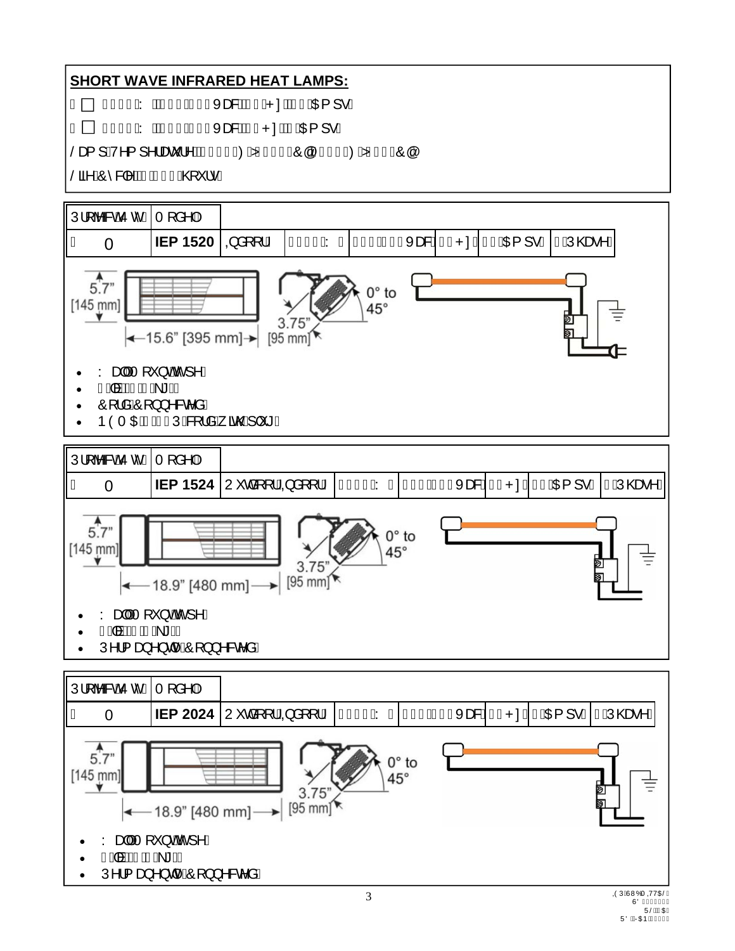## **SHORT WAVE INFRARED HEAT LAMPS:**

Á∏ FÍ<del>€€Á</del>Y ÁÁFFÍ ËFG€Xæ8ÐÊ €ÁP: ÉÁFHÁOE¦ 1 • Á

Á□ GEEEÁY ÁKGHEËGI €Xæ8ÊÂi €P:ÉÁJÁOET | •Á

Šæi 1 Á/^{1^¦æč¦^KÁGIGE>xØÑŽEHCÍ»ÔáÁH΀>xØÑŽGE€>ÔáÁ

Šã^ÁÔ^&|^KÁ <del>ÊEE</del>Á@<sup>~</sup> ¦•Á

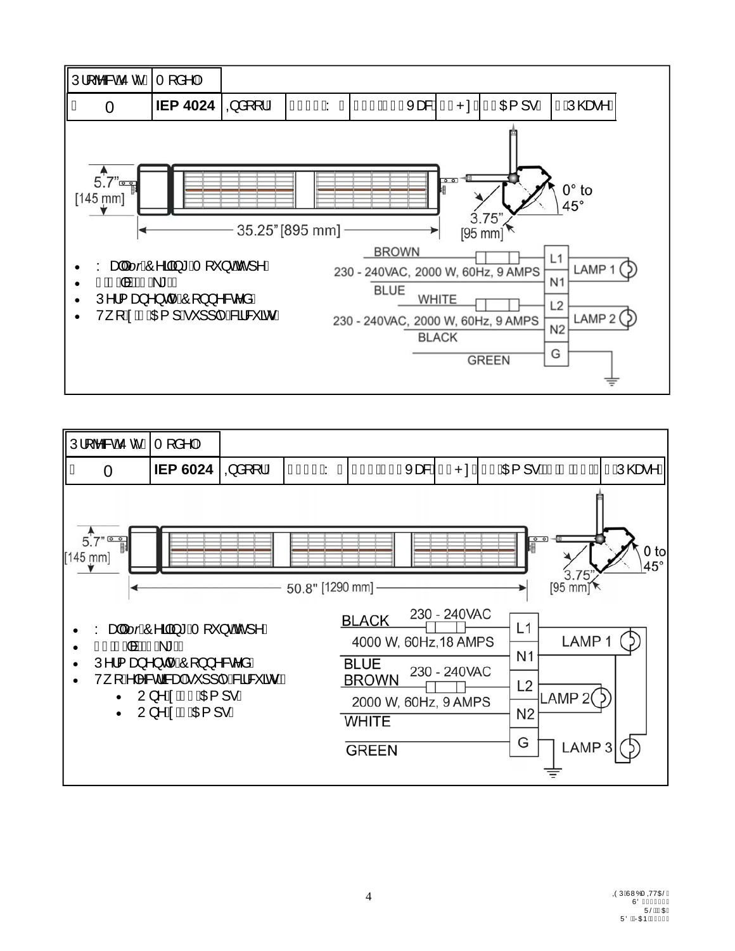